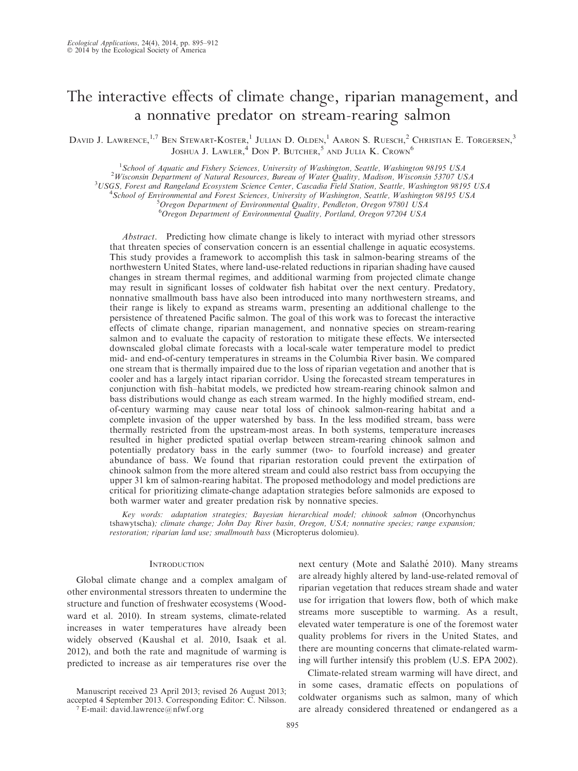# The interactive effects of climate change, riparian management, and a nonnative predator on stream-rearing salmon

DAVID J. LAWRENCE,<sup>1,7</sup> Ben Stewart-Koster,<sup>1</sup> Julian D. Olden,<sup>1</sup> Aaron S. Ruesch,<sup>2</sup> Christian E. Torgersen,<sup>3</sup> JOSHUA J. LAWLER,<sup>4</sup> DON P. BUTCHER,<sup>5</sup> AND JULIA K. CROWN<sup>6</sup>

<sup>1</sup> School of Aquatic and Fishery Sciences, University of Washington, Seattle, Washington 98195 USA<br><sup>2</sup> Wisconsin Department of Natural Resources, Bureau of Water Quality, Madison, Wisconsin 53707 US <sup>2</sup>Wisconsin Department of Natural Resources, Bureau of Water Quality, Madison, Wisconsin 53707 USA <sup>3</sup>USGS, Forest and Rangeland Ecosystem Science Center, Cascadia Field Station, Seattle, Washington 98195 USA <sup>4</sup>School of Environmental and Forest Sciences, University of Washington, Seattle, Washington 98195 USA  $5$ Oregon Department of Environmental Quality, Pendleton, Oregon 97801 USA 6 Oregon Department of Environmental Quality, Portland, Oregon 97204 USA

Abstract. Predicting how climate change is likely to interact with myriad other stressors that threaten species of conservation concern is an essential challenge in aquatic ecosystems. This study provides a framework to accomplish this task in salmon-bearing streams of the northwestern United States, where land-use-related reductions in riparian shading have caused changes in stream thermal regimes, and additional warming from projected climate change may result in significant losses of coldwater fish habitat over the next century. Predatory, nonnative smallmouth bass have also been introduced into many northwestern streams, and their range is likely to expand as streams warm, presenting an additional challenge to the persistence of threatened Pacific salmon. The goal of this work was to forecast the interactive effects of climate change, riparian management, and nonnative species on stream-rearing salmon and to evaluate the capacity of restoration to mitigate these effects. We intersected downscaled global climate forecasts with a local-scale water temperature model to predict mid- and end-of-century temperatures in streams in the Columbia River basin. We compared one stream that is thermally impaired due to the loss of riparian vegetation and another that is cooler and has a largely intact riparian corridor. Using the forecasted stream temperatures in conjunction with fish–habitat models, we predicted how stream-rearing chinook salmon and bass distributions would change as each stream warmed. In the highly modified stream, endof-century warming may cause near total loss of chinook salmon-rearing habitat and a complete invasion of the upper watershed by bass. In the less modified stream, bass were thermally restricted from the upstream-most areas. In both systems, temperature increases resulted in higher predicted spatial overlap between stream-rearing chinook salmon and potentially predatory bass in the early summer (two- to fourfold increase) and greater abundance of bass. We found that riparian restoration could prevent the extirpation of chinook salmon from the more altered stream and could also restrict bass from occupying the upper 31 km of salmon-rearing habitat. The proposed methodology and model predictions are critical for prioritizing climate-change adaptation strategies before salmonids are exposed to both warmer water and greater predation risk by nonnative species.

Key words: adaptation strategies; Bayesian hierarchical model; chinook salmon (Oncorhynchus tshawytscha); climate change; John Day River basin, Oregon, USA; nonnative species; range expansion; restoration; riparian land use; smallmouth bass (Micropterus dolomieu).

# **INTRODUCTION**

Global climate change and a complex amalgam of other environmental stressors threaten to undermine the structure and function of freshwater ecosystems (Woodward et al. 2010). In stream systems, climate-related increases in water temperatures have already been widely observed (Kaushal et al. 2010, Isaak et al. 2012), and both the rate and magnitude of warming is predicted to increase as air temperatures rise over the

<sup>7</sup> E-mail: david.lawrence@nfwf.org

next century (Mote and Salathé 2010). Many streams are already highly altered by land-use-related removal of riparian vegetation that reduces stream shade and water use for irrigation that lowers flow, both of which make streams more susceptible to warming. As a result, elevated water temperature is one of the foremost water quality problems for rivers in the United States, and there are mounting concerns that climate-related warming will further intensify this problem (U.S. EPA 2002).

Climate-related stream warming will have direct, and in some cases, dramatic effects on populations of coldwater organisms such as salmon, many of which are already considered threatened or endangered as a

Manuscript received 23 April 2013; revised 26 August 2013; accepted 4 September 2013. Corresponding Editor: C. Nilsson.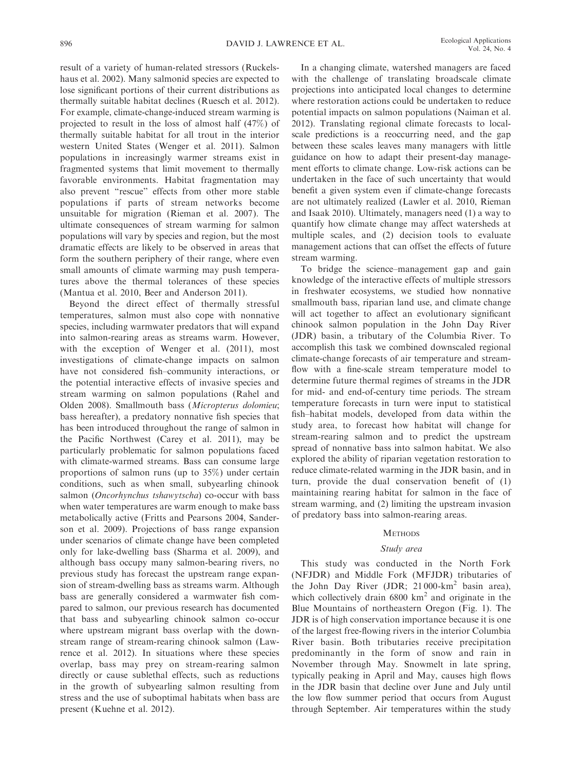result of a variety of human-related stressors (Ruckelshaus et al. 2002). Many salmonid species are expected to lose significant portions of their current distributions as thermally suitable habitat declines (Ruesch et al. 2012). For example, climate-change-induced stream warming is projected to result in the loss of almost half (47%) of thermally suitable habitat for all trout in the interior western United States (Wenger et al. 2011). Salmon populations in increasingly warmer streams exist in fragmented systems that limit movement to thermally favorable environments. Habitat fragmentation may also prevent ''rescue'' effects from other more stable populations if parts of stream networks become unsuitable for migration (Rieman et al. 2007). The ultimate consequences of stream warming for salmon populations will vary by species and region, but the most dramatic effects are likely to be observed in areas that form the southern periphery of their range, where even small amounts of climate warming may push temperatures above the thermal tolerances of these species (Mantua et al. 2010, Beer and Anderson 2011).

Beyond the direct effect of thermally stressful temperatures, salmon must also cope with nonnative species, including warmwater predators that will expand into salmon-rearing areas as streams warm. However, with the exception of Wenger et al. (2011), most investigations of climate-change impacts on salmon have not considered fish–community interactions, or the potential interactive effects of invasive species and stream warming on salmon populations (Rahel and Olden 2008). Smallmouth bass (Micropterus dolomieu; bass hereafter), a predatory nonnative fish species that has been introduced throughout the range of salmon in the Pacific Northwest (Carey et al. 2011), may be particularly problematic for salmon populations faced with climate-warmed streams. Bass can consume large proportions of salmon runs (up to 35%) under certain conditions, such as when small, subyearling chinook salmon (Oncorhynchus tshawytscha) co-occur with bass when water temperatures are warm enough to make bass metabolically active (Fritts and Pearsons 2004, Sanderson et al. 2009). Projections of bass range expansion under scenarios of climate change have been completed only for lake-dwelling bass (Sharma et al. 2009), and although bass occupy many salmon-bearing rivers, no previous study has forecast the upstream range expansion of stream-dwelling bass as streams warm. Although bass are generally considered a warmwater fish compared to salmon, our previous research has documented that bass and subyearling chinook salmon co-occur where upstream migrant bass overlap with the downstream range of stream-rearing chinook salmon (Lawrence et al. 2012). In situations where these species overlap, bass may prey on stream-rearing salmon directly or cause sublethal effects, such as reductions in the growth of subyearling salmon resulting from stress and the use of suboptimal habitats when bass are present (Kuehne et al. 2012).

In a changing climate, watershed managers are faced with the challenge of translating broadscale climate projections into anticipated local changes to determine where restoration actions could be undertaken to reduce potential impacts on salmon populations (Naiman et al. 2012). Translating regional climate forecasts to localscale predictions is a reoccurring need, and the gap between these scales leaves many managers with little guidance on how to adapt their present-day management efforts to climate change. Low-risk actions can be undertaken in the face of such uncertainty that would benefit a given system even if climate-change forecasts are not ultimately realized (Lawler et al. 2010, Rieman and Isaak 2010). Ultimately, managers need (1) a way to quantify how climate change may affect watersheds at multiple scales, and (2) decision tools to evaluate management actions that can offset the effects of future stream warming.

To bridge the science–management gap and gain knowledge of the interactive effects of multiple stressors in freshwater ecosystems, we studied how nonnative smallmouth bass, riparian land use, and climate change will act together to affect an evolutionary significant chinook salmon population in the John Day River (JDR) basin, a tributary of the Columbia River. To accomplish this task we combined downscaled regional climate-change forecasts of air temperature and streamflow with a fine-scale stream temperature model to determine future thermal regimes of streams in the JDR for mid- and end-of-century time periods. The stream temperature forecasts in turn were input to statistical fish–habitat models, developed from data within the study area, to forecast how habitat will change for stream-rearing salmon and to predict the upstream spread of nonnative bass into salmon habitat. We also explored the ability of riparian vegetation restoration to reduce climate-related warming in the JDR basin, and in turn, provide the dual conservation benefit of (1) maintaining rearing habitat for salmon in the face of stream warming, and (2) limiting the upstream invasion of predatory bass into salmon-rearing areas.

#### **METHODS**

#### Study area

This study was conducted in the North Fork (NFJDR) and Middle Fork (MFJDR) tributaries of the John Day River (JDR;  $21000 \text{-} \text{km}^2$  basin area), which collectively drain  $6800 \text{ km}^2$  and originate in the Blue Mountains of northeastern Oregon (Fig. 1). The JDR is of high conservation importance because it is one of the largest free-flowing rivers in the interior Columbia River basin. Both tributaries receive precipitation predominantly in the form of snow and rain in November through May. Snowmelt in late spring, typically peaking in April and May, causes high flows in the JDR basin that decline over June and July until the low flow summer period that occurs from August through September. Air temperatures within the study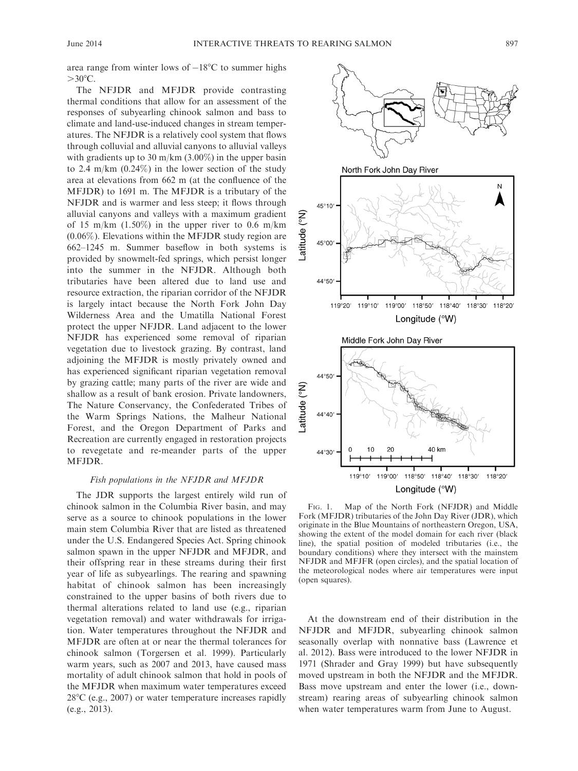area range from winter lows of  $-18^{\circ}$ C to summer highs  $>30^{\circ}$ C.

The NFJDR and MFJDR provide contrasting thermal conditions that allow for an assessment of the responses of subyearling chinook salmon and bass to climate and land-use-induced changes in stream temperatures. The NFJDR is a relatively cool system that flows through colluvial and alluvial canyons to alluvial valleys with gradients up to 30 m/km (3.00%) in the upper basin to 2.4 m/km (0.24%) in the lower section of the study area at elevations from 662 m (at the confluence of the MFJDR) to 1691 m. The MFJDR is a tributary of the NFJDR and is warmer and less steep; it flows through alluvial canyons and valleys with a maximum gradient of 15 m/km  $(1.50\%)$  in the upper river to 0.6 m/km (0.06%). Elevations within the MFJDR study region are 662–1245 m. Summer baseflow in both systems is provided by snowmelt-fed springs, which persist longer into the summer in the NFJDR. Although both tributaries have been altered due to land use and resource extraction, the riparian corridor of the NFJDR is largely intact because the North Fork John Day Wilderness Area and the Umatilla National Forest protect the upper NFJDR. Land adjacent to the lower NFJDR has experienced some removal of riparian vegetation due to livestock grazing. By contrast, land adjoining the MFJDR is mostly privately owned and has experienced significant riparian vegetation removal by grazing cattle; many parts of the river are wide and shallow as a result of bank erosion. Private landowners, The Nature Conservancy, the Confederated Tribes of the Warm Springs Nations, the Malheur National Forest, and the Oregon Department of Parks and Recreation are currently engaged in restoration projects to revegetate and re-meander parts of the upper MFJDR.

# Fish populations in the NFJDR and MFJDR

The JDR supports the largest entirely wild run of chinook salmon in the Columbia River basin, and may serve as a source to chinook populations in the lower main stem Columbia River that are listed as threatened under the U.S. Endangered Species Act. Spring chinook salmon spawn in the upper NFJDR and MFJDR, and their offspring rear in these streams during their first year of life as subyearlings. The rearing and spawning habitat of chinook salmon has been increasingly constrained to the upper basins of both rivers due to thermal alterations related to land use (e.g., riparian vegetation removal) and water withdrawals for irrigation. Water temperatures throughout the NFJDR and MFJDR are often at or near the thermal tolerances for chinook salmon (Torgersen et al. 1999). Particularly warm years, such as 2007 and 2013, have caused mass mortality of adult chinook salmon that hold in pools of the MFJDR when maximum water temperatures exceed  $28^{\circ}$ C (e.g., 2007) or water temperature increases rapidly (e.g., 2013).



FIG. 1. Map of the North Fork (NFJDR) and Middle Fork (MFJDR) tributaries of the John Day River (JDR), which originate in the Blue Mountains of northeastern Oregon, USA, showing the extent of the model domain for each river (black line), the spatial position of modeled tributaries (i.e., the boundary conditions) where they intersect with the mainstem NFJDR and MFJFR (open circles), and the spatial location of the meteorological nodes where air temperatures were input (open squares).

At the downstream end of their distribution in the NFJDR and MFJDR, subyearling chinook salmon seasonally overlap with nonnative bass (Lawrence et al. 2012). Bass were introduced to the lower NFJDR in 1971 (Shrader and Gray 1999) but have subsequently moved upstream in both the NFJDR and the MFJDR. Bass move upstream and enter the lower (i.e., downstream) rearing areas of subyearling chinook salmon when water temperatures warm from June to August.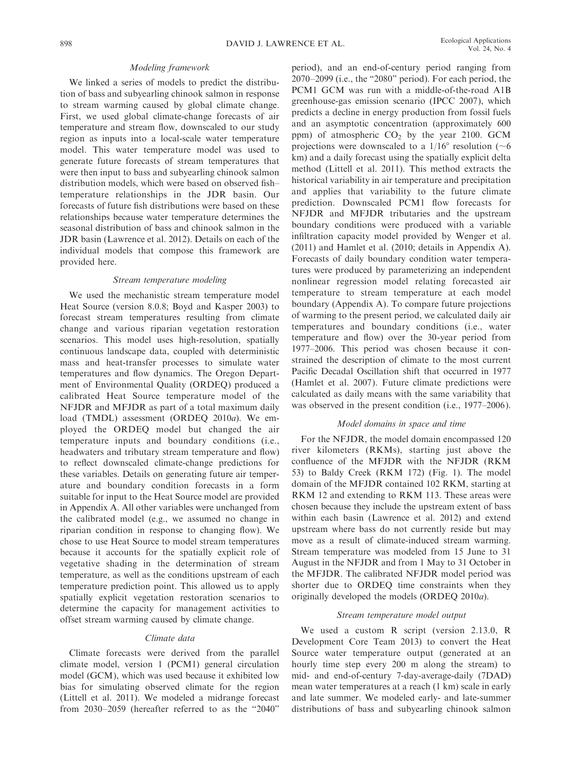### Modeling framework

We linked a series of models to predict the distribution of bass and subyearling chinook salmon in response to stream warming caused by global climate change. First, we used global climate-change forecasts of air temperature and stream flow, downscaled to our study region as inputs into a local-scale water temperature model. This water temperature model was used to generate future forecasts of stream temperatures that were then input to bass and subyearling chinook salmon distribution models, which were based on observed fish– temperature relationships in the JDR basin. Our forecasts of future fish distributions were based on these relationships because water temperature determines the seasonal distribution of bass and chinook salmon in the JDR basin (Lawrence et al. 2012). Details on each of the individual models that compose this framework are provided here.

### Stream temperature modeling

We used the mechanistic stream temperature model Heat Source (version 8.0.8; Boyd and Kasper 2003) to forecast stream temperatures resulting from climate change and various riparian vegetation restoration scenarios. This model uses high-resolution, spatially continuous landscape data, coupled with deterministic mass and heat-transfer processes to simulate water temperatures and flow dynamics. The Oregon Department of Environmental Quality (ORDEQ) produced a calibrated Heat Source temperature model of the NFJDR and MFJDR as part of a total maximum daily load (TMDL) assessment (ORDEQ 2010a). We employed the ORDEQ model but changed the air temperature inputs and boundary conditions (i.e., headwaters and tributary stream temperature and flow) to reflect downscaled climate-change predictions for these variables. Details on generating future air temperature and boundary condition forecasts in a form suitable for input to the Heat Source model are provided in Appendix A. All other variables were unchanged from the calibrated model (e.g., we assumed no change in riparian condition in response to changing flow). We chose to use Heat Source to model stream temperatures because it accounts for the spatially explicit role of vegetative shading in the determination of stream temperature, as well as the conditions upstream of each temperature prediction point. This allowed us to apply spatially explicit vegetation restoration scenarios to determine the capacity for management activities to offset stream warming caused by climate change.

# Climate data

Climate forecasts were derived from the parallel climate model, version 1 (PCM1) general circulation model (GCM), which was used because it exhibited low bias for simulating observed climate for the region (Littell et al. 2011). We modeled a midrange forecast from 2030–2059 (hereafter referred to as the ''2040''

period), and an end-of-century period ranging from 2070–2099 (i.e., the ''2080'' period). For each period, the PCM1 GCM was run with a middle-of-the-road A1B greenhouse-gas emission scenario (IPCC 2007), which predicts a decline in energy production from fossil fuels and an asymptotic concentration (approximately 600 ppm) of atmospheric  $CO<sub>2</sub>$  by the year 2100. GCM projections were downscaled to a  $1/16^{\circ}$  resolution ( $\sim$ 6) km) and a daily forecast using the spatially explicit delta method (Littell et al. 2011). This method extracts the historical variability in air temperature and precipitation and applies that variability to the future climate prediction. Downscaled PCM1 flow forecasts for NFJDR and MFJDR tributaries and the upstream boundary conditions were produced with a variable infiltration capacity model provided by Wenger et al. (2011) and Hamlet et al. (2010; details in Appendix A). Forecasts of daily boundary condition water temperatures were produced by parameterizing an independent nonlinear regression model relating forecasted air temperature to stream temperature at each model boundary (Appendix A). To compare future projections of warming to the present period, we calculated daily air temperatures and boundary conditions (i.e., water temperature and flow) over the 30-year period from 1977–2006. This period was chosen because it constrained the description of climate to the most current Pacific Decadal Oscillation shift that occurred in 1977 (Hamlet et al. 2007). Future climate predictions were calculated as daily means with the same variability that was observed in the present condition (i.e., 1977–2006).

### Model domains in space and time

For the NFJDR, the model domain encompassed 120 river kilometers (RKMs), starting just above the confluence of the MFJDR with the NFJDR (RKM 53) to Baldy Creek (RKM 172) (Fig. 1). The model domain of the MFJDR contained 102 RKM, starting at RKM 12 and extending to RKM 113. These areas were chosen because they include the upstream extent of bass within each basin (Lawrence et al. 2012) and extend upstream where bass do not currently reside but may move as a result of climate-induced stream warming. Stream temperature was modeled from 15 June to 31 August in the NFJDR and from 1 May to 31 October in the MFJDR. The calibrated NFJDR model period was shorter due to ORDEQ time constraints when they originally developed the models (ORDEQ 2010a).

### Stream temperature model output

We used a custom R script (version 2.13.0, R Development Core Team 2013) to convert the Heat Source water temperature output (generated at an hourly time step every 200 m along the stream) to mid- and end-of-century 7-day-average-daily (7DAD) mean water temperatures at a reach (1 km) scale in early and late summer. We modeled early- and late-summer distributions of bass and subyearling chinook salmon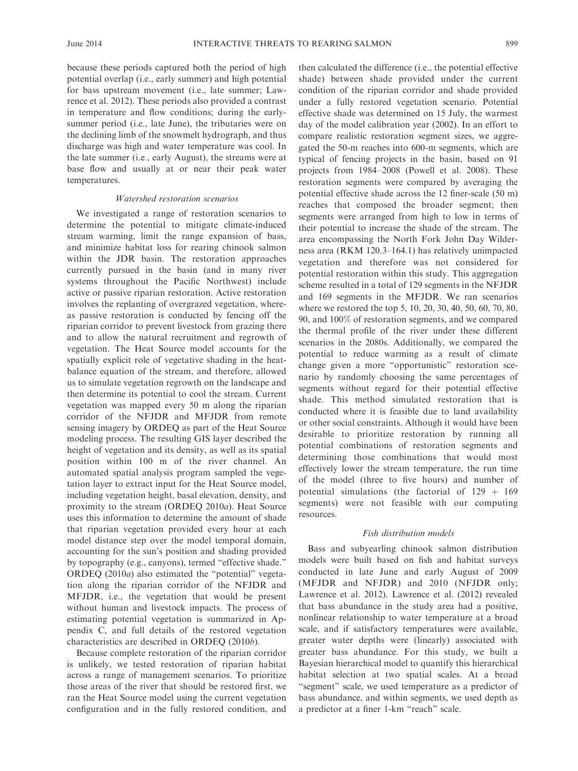because these periods captured both the period of high potential overlap (i.e., early summer) and high potential for bass upstream movement (i.e., late summer; Lawrence et al. 2012). These periods also provided a contrast in temperature and flow conditions; during the earlysummer period (i.e., late June), the tributaries were on the declining limb of the snowmelt hydrograph, and thus discharge was high and water temperature was cool. In the late summer (i.e., early August), the streams were at base flow and usually at or near their peak water temperatures.

# Watershed restoration scenarios

We investigated a range of restoration scenarios to determine the potential to mitigate climate-induced stream warming, limit the range expansion of bass, and minimize habitat loss for rearing chinook salmon within the JDR basin. The restoration approaches currently pursued in the basin (and in many river systems throughout the Pacific Northwest) include active or passive riparian restoration. Active restoration involves the replanting of overgrazed vegetation, whereas passive restoration is conducted by fencing off the riparian corridor to prevent livestock from grazing there and to allow the natural recruitment and regrowth of vegetation. The Heat Source model accounts for the spatially explicit role of vegetative shading in the heatbalance equation of the stream, and therefore, allowed us to simulate vegetation regrowth on the landscape and then determine its potential to cool the stream. Current vegetation was mapped every 50 m along the riparian corridor of the NFJDR and MFJDR from remote sensing imagery by ORDEQ as part of the Heat Source modeling process. The resulting GIS layer described the height of vegetation and its density, as well as its spatial position within 100 m of the river channel. An automated spatial analysis program sampled the vegetation layer to extract input for the Heat Source model, including vegetation height, basal elevation, density, and proximity to the stream (ORDEQ 2010a). Heat Source uses this information to determine the amount of shade that riparian vegetation provided every hour at each model distance step over the model temporal domain, accounting for the sun's position and shading provided by topography (e.g., canyons), termed ''effective shade.'' ORDEQ (2010a) also estimated the ''potential'' vegetation along the riparian corridor of the NFJDR and MFJDR, i.e., the vegetation that would be present without human and livestock impacts. The process of estimating potential vegetation is summarized in Appendix C, and full details of the restored vegetation characteristics are described in ORDEQ (2010b).

Because complete restoration of the riparian corridor is unlikely, we tested restoration of riparian habitat across a range of management scenarios. To prioritize those areas of the river that should be restored first, we ran the Heat Source model using the current vegetation configuration and in the fully restored condition, and then calculated the difference (i.e., the potential effective shade) between shade provided under the current condition of the riparian corridor and shade provided under a fully restored vegetation scenario. Potential effective shade was determined on 15 July, the warmest day of the model calibration year (2002). In an effort to compare realistic restoration segment sizes, we aggregated the 50-m reaches into 600-m segments, which are typical of fencing projects in the basin, based on 91 projects from 1984–2008 (Powell et al. 2008). These restoration segments were compared by averaging the potential effective shade across the 12 finer-scale (50 m) reaches that composed the broader segment; then segments were arranged from high to low in terms of their potential to increase the shade of the stream. The area encompassing the North Fork John Day Wilderness area (RKM 120.3–164.1) has relatively unimpacted vegetation and therefore was not considered for potential restoration within this study. This aggregation scheme resulted in a total of 129 segments in the NFJDR and 169 segments in the MFJDR. We ran scenarios where we restored the top 5, 10, 20, 30, 40, 50, 60, 70, 80, 90, and 100% of restoration segments, and we compared the thermal profile of the river under these different scenarios in the 2080s. Additionally, we compared the potential to reduce warming as a result of climate change given a more ''opportunistic'' restoration scenario by randomly choosing the same percentages of segments without regard for their potential effective shade. This method simulated restoration that is conducted where it is feasible due to land availability or other social constraints. Although it would have been desirable to prioritize restoration by running all potential combinations of restoration segments and determining those combinations that would most effectively lower the stream temperature, the run time of the model (three to five hours) and number of potential simulations (the factorial of  $129 + 169$ segments) were not feasible with our computing resources.

# Fish distribution models

Bass and subyearling chinook salmon distribution models were built based on fish and habitat surveys conducted in late June and early August of 2009 (MFJDR and NFJDR) and 2010 (NFJDR only; Lawrence et al. 2012). Lawrence et al. (2012) revealed that bass abundance in the study area had a positive, nonlinear relationship to water temperature at a broad scale, and if satisfactory temperatures were available, greater water depths were (linearly) associated with greater bass abundance. For this study, we built a Bayesian hierarchical model to quantify this hierarchical habitat selection at two spatial scales. At a broad ''segment'' scale, we used temperature as a predictor of bass abundance, and within segments, we used depth as a predictor at a finer 1-km ''reach'' scale.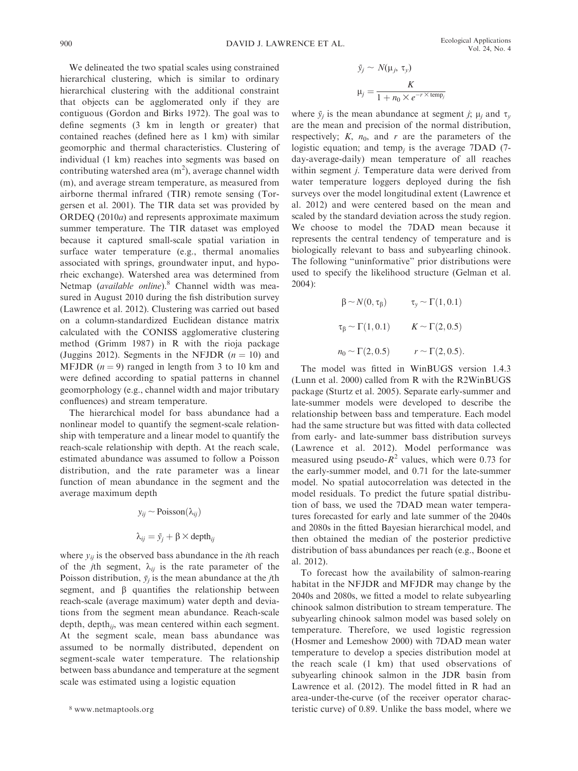We delineated the two spatial scales using constrained hierarchical clustering, which is similar to ordinary hierarchical clustering with the additional constraint that objects can be agglomerated only if they are contiguous (Gordon and Birks 1972). The goal was to define segments (3 km in length or greater) that contained reaches (defined here as 1 km) with similar geomorphic and thermal characteristics. Clustering of individual (1 km) reaches into segments was based on contributing watershed area  $(m^2)$ , average channel width (m), and average stream temperature, as measured from airborne thermal infrared (TIR) remote sensing (Torgersen et al. 2001). The TIR data set was provided by ORDEQ (2010a) and represents approximate maximum summer temperature. The TIR dataset was employed because it captured small-scale spatial variation in surface water temperature (e.g., thermal anomalies associated with springs, groundwater input, and hyporheic exchange). Watershed area was determined from Netmap (available online).<sup>8</sup> Channel width was measured in August 2010 during the fish distribution survey (Lawrence et al. 2012). Clustering was carried out based on a column-standardized Euclidean distance matrix calculated with the CONISS agglomerative clustering method (Grimm 1987) in R with the rioja package (Juggins 2012). Segments in the NFJDR  $(n = 10)$  and MFJDR  $(n = 9)$  ranged in length from 3 to 10 km and were defined according to spatial patterns in channel geomorphology (e.g., channel width and major tributary confluences) and stream temperature.

The hierarchical model for bass abundance had a nonlinear model to quantify the segment-scale relationship with temperature and a linear model to quantify the reach-scale relationship with depth. At the reach scale, estimated abundance was assumed to follow a Poisson distribution, and the rate parameter was a linear function of mean abundance in the segment and the average maximum depth

$$
y_{ij} \sim \text{Poisson}(\lambda_{ij})
$$
  

$$
\lambda_{ij} = \bar{y}_j + \beta \times \text{depth}_{ij}
$$

where  $y_{ii}$  is the observed bass abundance in the *i*th reach of the jth segment,  $\lambda_{ii}$  is the rate parameter of the Poisson distribution,  $\bar{y}_i$  is the mean abundance at the *j*th segment, and  $\beta$  quantifies the relationship between reach-scale (average maximum) water depth and deviations from the segment mean abundance. Reach-scale depth, depth $_{ii}$ , was mean centered within each segment. At the segment scale, mean bass abundance was assumed to be normally distributed, dependent on segment-scale water temperature. The relationship between bass abundance and temperature at the segment scale was estimated using a logistic equation

$$
\bar{y}_j \sim N(\mu_j, \tau_y)
$$

$$
\mu_j = \frac{K}{1 + n_0 \times e^{-r \times \text{temp}_j}}
$$

where  $\bar{y}_i$  is the mean abundance at segment j;  $\mu_i$  and  $\tau_v$ are the mean and precision of the normal distribution, respectively;  $K$ ,  $n_0$ , and  $r$  are the parameters of the logistic equation; and temp<sub>i</sub> is the average 7DAD (7day-average-daily) mean temperature of all reaches within segment j. Temperature data were derived from water temperature loggers deployed during the fish surveys over the model longitudinal extent (Lawrence et al. 2012) and were centered based on the mean and scaled by the standard deviation across the study region. We choose to model the 7DAD mean because it represents the central tendency of temperature and is biologically relevant to bass and subyearling chinook. The following ''uninformative'' prior distributions were used to specify the likelihood structure (Gelman et al. 2004):

$$
\beta \sim N(0, \tau_{\beta}) \qquad \tau_{y} \sim \Gamma(1, 0.1)
$$
  
\n
$$
\tau_{\beta} \sim \Gamma(1, 0.1) \qquad K \sim \Gamma(2, 0.5)
$$
  
\n
$$
n_{0} \sim \Gamma(2, 0.5) \qquad r \sim \Gamma(2, 0.5).
$$

The model was fitted in WinBUGS version 1.4.3 (Lunn et al. 2000) called from R with the R2WinBUGS package (Sturtz et al. 2005). Separate early-summer and late-summer models were developed to describe the relationship between bass and temperature. Each model had the same structure but was fitted with data collected from early- and late-summer bass distribution surveys (Lawrence et al. 2012). Model performance was measured using pseudo- $R^2$  values, which were 0.73 for the early-summer model, and 0.71 for the late-summer model. No spatial autocorrelation was detected in the model residuals. To predict the future spatial distribution of bass, we used the 7DAD mean water temperatures forecasted for early and late summer of the 2040s and 2080s in the fitted Bayesian hierarchical model, and then obtained the median of the posterior predictive distribution of bass abundances per reach (e.g., Boone et al. 2012).

To forecast how the availability of salmon-rearing habitat in the NFJDR and MFJDR may change by the 2040s and 2080s, we fitted a model to relate subyearling chinook salmon distribution to stream temperature. The subyearling chinook salmon model was based solely on temperature. Therefore, we used logistic regression (Hosmer and Lemeshow 2000) with 7DAD mean water temperature to develop a species distribution model at the reach scale (1 km) that used observations of subyearling chinook salmon in the JDR basin from Lawrence et al. (2012). The model fitted in R had an area-under-the-curve (of the receiver operator charac-<sup>8</sup> www.netmaptools.org **business** teristic curve) of 0.89. Unlike the bass model, where we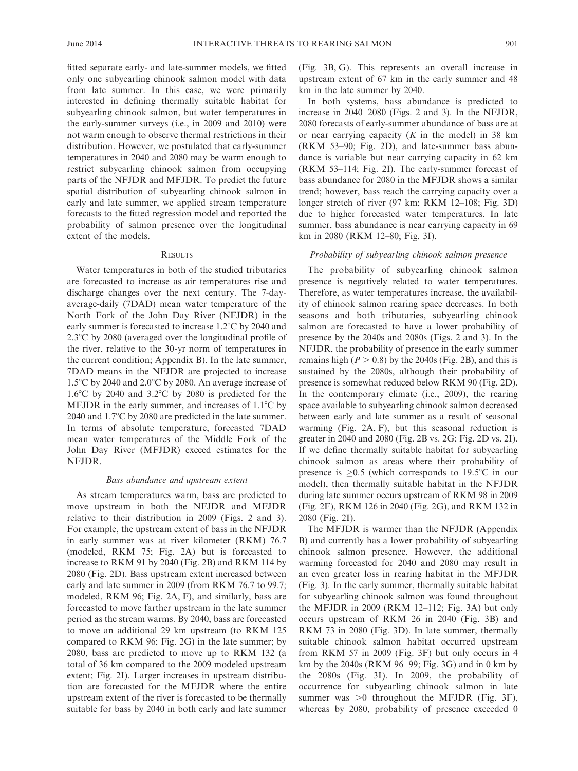fitted separate early- and late-summer models, we fitted only one subyearling chinook salmon model with data from late summer. In this case, we were primarily interested in defining thermally suitable habitat for subyearling chinook salmon, but water temperatures in the early-summer surveys (i.e., in 2009 and 2010) were not warm enough to observe thermal restrictions in their distribution. However, we postulated that early-summer temperatures in 2040 and 2080 may be warm enough to restrict subyearling chinook salmon from occupying parts of the NFJDR and MFJDR. To predict the future spatial distribution of subyearling chinook salmon in early and late summer, we applied stream temperature forecasts to the fitted regression model and reported the probability of salmon presence over the longitudinal extent of the models.

#### **RESULTS**

Water temperatures in both of the studied tributaries are forecasted to increase as air temperatures rise and discharge changes over the next century. The 7-dayaverage-daily (7DAD) mean water temperature of the North Fork of the John Day River (NFJDR) in the early summer is forecasted to increase 1.2°C by 2040 and  $2.3^{\circ}$ C by 2080 (averaged over the longitudinal profile of the river, relative to the 30-yr norm of temperatures in the current condition; Appendix B). In the late summer, 7DAD means in the NFJDR are projected to increase  $1.5^{\circ}$ C by 2040 and  $2.0^{\circ}$ C by 2080. An average increase of  $1.6^{\circ}$ C by 2040 and  $3.2^{\circ}$ C by 2080 is predicted for the MFJDR in the early summer, and increases of  $1.1^{\circ}$ C by  $2040$  and  $1.7^{\circ}$ C by 2080 are predicted in the late summer. In terms of absolute temperature, forecasted 7DAD mean water temperatures of the Middle Fork of the John Day River (MFJDR) exceed estimates for the NFJDR.

## Bass abundance and upstream extent

As stream temperatures warm, bass are predicted to move upstream in both the NFJDR and MFJDR relative to their distribution in 2009 (Figs. 2 and 3). For example, the upstream extent of bass in the NFJDR in early summer was at river kilometer (RKM) 76.7 (modeled, RKM 75; Fig. 2A) but is forecasted to increase to RKM 91 by 2040 (Fig. 2B) and RKM 114 by 2080 (Fig. 2D). Bass upstream extent increased between early and late summer in 2009 (from RKM 76.7 to 99.7; modeled, RKM 96; Fig. 2A, F), and similarly, bass are forecasted to move farther upstream in the late summer period as the stream warms. By 2040, bass are forecasted to move an additional 29 km upstream (to RKM 125 compared to RKM 96; Fig. 2G) in the late summer; by 2080, bass are predicted to move up to RKM 132 (a total of 36 km compared to the 2009 modeled upstream extent; Fig. 2I). Larger increases in upstream distribution are forecasted for the MFJDR where the entire upstream extent of the river is forecasted to be thermally suitable for bass by 2040 in both early and late summer (Fig. 3B, G). This represents an overall increase in upstream extent of 67 km in the early summer and 48 km in the late summer by 2040.

In both systems, bass abundance is predicted to increase in 2040–2080 (Figs. 2 and 3). In the NFJDR, 2080 forecasts of early-summer abundance of bass are at or near carrying capacity  $(K \text{ in the model})$  in 38 km (RKM 53–90; Fig. 2D), and late-summer bass abundance is variable but near carrying capacity in 62 km (RKM 53–114; Fig. 2I). The early-summer forecast of bass abundance for 2080 in the MFJDR shows a similar trend; however, bass reach the carrying capacity over a longer stretch of river (97 km; RKM 12–108; Fig. 3D) due to higher forecasted water temperatures. In late summer, bass abundance is near carrying capacity in 69 km in 2080 (RKM 12–80; Fig. 3I).

# Probability of subyearling chinook salmon presence

The probability of subyearling chinook salmon presence is negatively related to water temperatures. Therefore, as water temperatures increase, the availability of chinook salmon rearing space decreases. In both seasons and both tributaries, subyearling chinook salmon are forecasted to have a lower probability of presence by the 2040s and 2080s (Figs. 2 and 3). In the NFJDR, the probability of presence in the early summer remains high ( $P > 0.8$ ) by the 2040s (Fig. 2B), and this is sustained by the 2080s, although their probability of presence is somewhat reduced below RKM 90 (Fig. 2D). In the contemporary climate (i.e., 2009), the rearing space available to subyearling chinook salmon decreased between early and late summer as a result of seasonal warming (Fig. 2A, F), but this seasonal reduction is greater in 2040 and 2080 (Fig. 2B vs. 2G; Fig. 2D vs. 2I). If we define thermally suitable habitat for subyearling chinook salmon as areas where their probability of presence is  $>0.5$  (which corresponds to 19.5°C in our model), then thermally suitable habitat in the NFJDR during late summer occurs upstream of RKM 98 in 2009 (Fig. 2F), RKM 126 in 2040 (Fig. 2G), and RKM 132 in 2080 (Fig. 2I).

The MFJDR is warmer than the NFJDR (Appendix B) and currently has a lower probability of subyearling chinook salmon presence. However, the additional warming forecasted for 2040 and 2080 may result in an even greater loss in rearing habitat in the MFJDR (Fig. 3). In the early summer, thermally suitable habitat for subyearling chinook salmon was found throughout the MFJDR in 2009 (RKM 12–112; Fig. 3A) but only occurs upstream of RKM 26 in 2040 (Fig. 3B) and RKM 73 in 2080 (Fig. 3D). In late summer, thermally suitable chinook salmon habitat occurred upstream from RKM 57 in 2009 (Fig. 3F) but only occurs in 4 km by the 2040s (RKM 96–99; Fig. 3G) and in 0 km by the 2080s (Fig. 3I). In 2009, the probability of occurrence for subyearling chinook salmon in late summer was  $>0$  throughout the MFJDR (Fig. 3F), whereas by 2080, probability of presence exceeded 0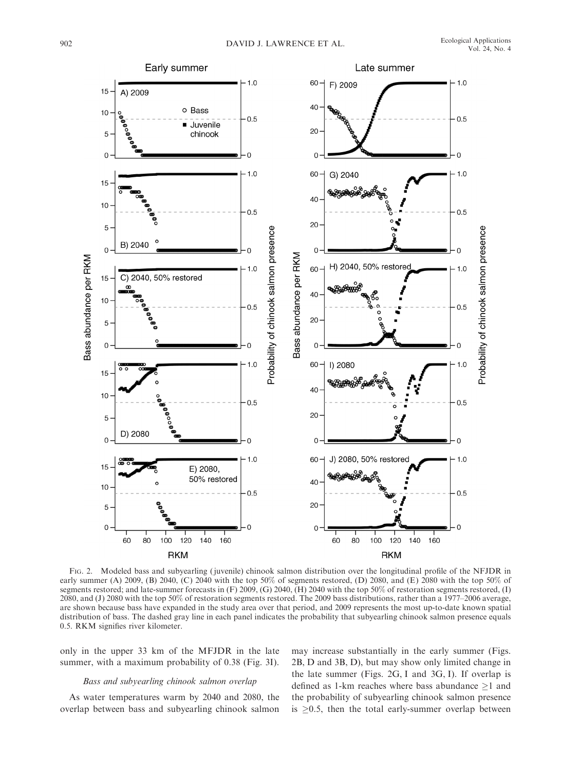

FIG. 2. Modeled bass and subyearling ( juvenile) chinook salmon distribution over the longitudinal profile of the NFJDR in early summer (A) 2009, (B) 2040, (C) 2040 with the top 50% of segments restored, (D) 2080, and (E) 2080 with the top 50% of segments restored; and late-summer forecasts in (F) 2009, (G) 2040, (H) 2040 with the top 50% of restoration segments restored, (I) 2080, and (J) 2080 with the top 50% of restoration segments restored. The 2009 bass distributions, rather than a 1977–2006 average, are shown because bass have expanded in the study area over that period, and 2009 represents the most up-to-date known spatial distribution of bass. The dashed gray line in each panel indicates the probability that subyearling chinook salmon presence equals 0.5. RKM signifies river kilometer.

only in the upper 33 km of the MFJDR in the late summer, with a maximum probability of 0.38 (Fig. 3I).

#### Bass and subyearling chinook salmon overlap

As water temperatures warm by 2040 and 2080, the overlap between bass and subyearling chinook salmon may increase substantially in the early summer (Figs. 2B, D and 3B, D), but may show only limited change in the late summer (Figs. 2G, I and 3G, I). If overlap is defined as 1-km reaches where bass abundance  $\geq 1$  and the probability of subyearling chinook salmon presence is  $\geq 0.5$ , then the total early-summer overlap between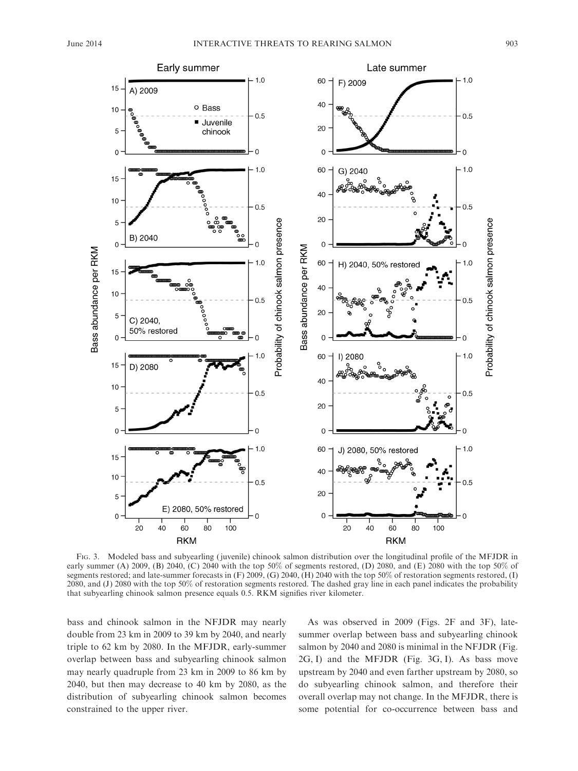

FIG. 3. Modeled bass and subyearling ( juvenile) chinook salmon distribution over the longitudinal profile of the MFJDR in early summer (A) 2009, (B) 2040, (C) 2040 with the top 50% of segments restored, (D) 2080, and (E) 2080 with the top 50% of segments restored; and late-summer forecasts in (F) 2009, (G) 2040, (H) 2040 with the top 50% of restoration segments restored, (I) 2080, and (J) 2080 with the top 50% of restoration segments restored. The dashed gray line in each panel indicates the probability that subyearling chinook salmon presence equals 0.5. RKM signifies river kilometer.

bass and chinook salmon in the NFJDR may nearly double from 23 km in 2009 to 39 km by 2040, and nearly triple to 62 km by 2080. In the MFJDR, early-summer overlap between bass and subyearling chinook salmon may nearly quadruple from 23 km in 2009 to 86 km by 2040, but then may decrease to 40 km by 2080, as the distribution of subyearling chinook salmon becomes constrained to the upper river.

As was observed in 2009 (Figs. 2F and 3F), latesummer overlap between bass and subyearling chinook salmon by 2040 and 2080 is minimal in the NFJDR (Fig. 2G, I) and the MFJDR (Fig. 3G, I). As bass move upstream by 2040 and even farther upstream by 2080, so do subyearling chinook salmon, and therefore their overall overlap may not change. In the MFJDR, there is some potential for co-occurrence between bass and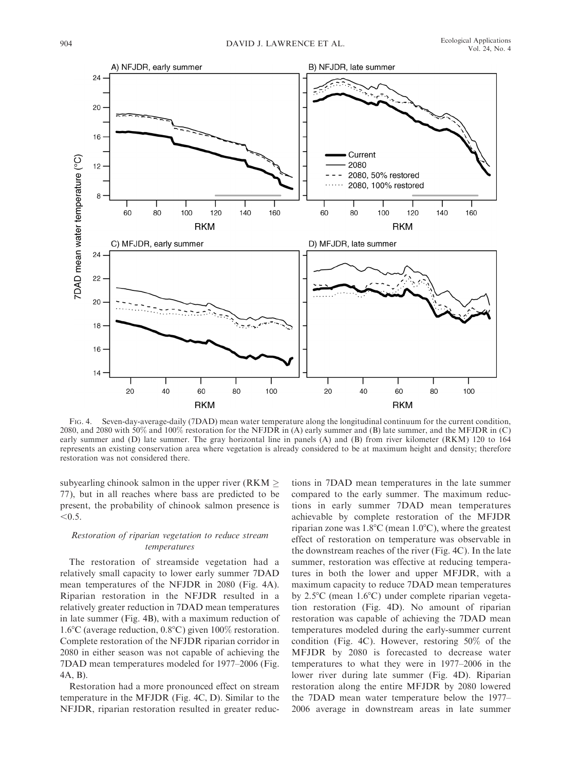

FIG. 4. Seven-day-average-daily (7DAD) mean water temperature along the longitudinal continuum for the current condition, 2080, and 2080 with 50% and 100% restoration for the NFJDR in (A) early summer and (B) late summer, and the MFJDR in (C) early summer and (D) late summer. The gray horizontal line in panels (A) and (B) from river kilometer (RKM) 120 to 164 represents an existing conservation area where vegetation is already considered to be at maximum height and density; therefore restoration was not considered there.

subyearling chinook salmon in the upper river  $(RKM)$ 77), but in all reaches where bass are predicted to be present, the probability of chinook salmon presence is  $< 0.5.$ 

# Restoration of riparian vegetation to reduce stream temperatures

The restoration of streamside vegetation had a relatively small capacity to lower early summer 7DAD mean temperatures of the NFJDR in 2080 (Fig. 4A). Riparian restoration in the NFJDR resulted in a relatively greater reduction in 7DAD mean temperatures in late summer (Fig. 4B), with a maximum reduction of 1.6°C (average reduction,  $0.8$ °C) given 100% restoration. Complete restoration of the NFJDR riparian corridor in 2080 in either season was not capable of achieving the 7DAD mean temperatures modeled for 1977–2006 (Fig. 4A, B).

Restoration had a more pronounced effect on stream temperature in the MFJDR (Fig. 4C, D). Similar to the NFJDR, riparian restoration resulted in greater reductions in 7DAD mean temperatures in the late summer compared to the early summer. The maximum reductions in early summer 7DAD mean temperatures achievable by complete restoration of the MFJDR riparian zone was  $1.8^{\circ}$ C (mean  $1.0^{\circ}$ C), where the greatest effect of restoration on temperature was observable in the downstream reaches of the river (Fig. 4C). In the late summer, restoration was effective at reducing temperatures in both the lower and upper MFJDR, with a maximum capacity to reduce 7DAD mean temperatures by  $2.5^{\circ}$ C (mean  $1.6^{\circ}$ C) under complete riparian vegetation restoration (Fig. 4D). No amount of riparian restoration was capable of achieving the 7DAD mean temperatures modeled during the early-summer current condition (Fig. 4C). However, restoring 50% of the MFJDR by 2080 is forecasted to decrease water temperatures to what they were in 1977–2006 in the lower river during late summer (Fig. 4D). Riparian restoration along the entire MFJDR by 2080 lowered the 7DAD mean water temperature below the 1977– 2006 average in downstream areas in late summer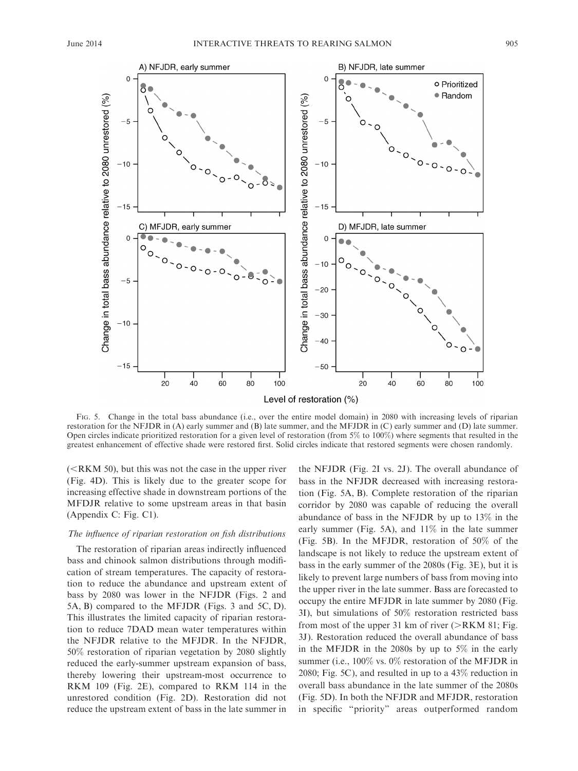

FIG. 5. Change in the total bass abundance (i.e., over the entire model domain) in 2080 with increasing levels of riparian restoration for the NFJDR in (A) early summer and (B) late summer, and the MFJDR in (C) early summer and (D) late summer. Open circles indicate prioritized restoration for a given level of restoration (from 5% to 100%) where segments that resulted in the greatest enhancement of effective shade were restored first. Solid circles indicate that restored segments were chosen randomly.

 $( $RKM\ 50$ ), but this was not the case in the upper river$ (Fig. 4D). This is likely due to the greater scope for increasing effective shade in downstream portions of the MFDJR relative to some upstream areas in that basin (Appendix C: Fig. C1).

# The influence of riparian restoration on fish distributions

The restoration of riparian areas indirectly influenced bass and chinook salmon distributions through modification of stream temperatures. The capacity of restoration to reduce the abundance and upstream extent of bass by 2080 was lower in the NFJDR (Figs. 2 and 5A, B) compared to the MFJDR (Figs. 3 and 5C, D). This illustrates the limited capacity of riparian restoration to reduce 7DAD mean water temperatures within the NFJDR relative to the MFJDR. In the NFJDR, 50% restoration of riparian vegetation by 2080 slightly reduced the early-summer upstream expansion of bass, thereby lowering their upstream-most occurrence to RKM 109 (Fig. 2E), compared to RKM 114 in the unrestored condition (Fig. 2D). Restoration did not reduce the upstream extent of bass in the late summer in the NFJDR (Fig. 2I vs. 2J). The overall abundance of bass in the NFJDR decreased with increasing restoration (Fig. 5A, B). Complete restoration of the riparian corridor by 2080 was capable of reducing the overall abundance of bass in the NFJDR by up to 13% in the early summer (Fig. 5A), and 11% in the late summer (Fig. 5B). In the MFJDR, restoration of 50% of the landscape is not likely to reduce the upstream extent of bass in the early summer of the 2080s (Fig. 3E), but it is likely to prevent large numbers of bass from moving into the upper river in the late summer. Bass are forecasted to occupy the entire MFJDR in late summer by 2080 (Fig. 3I), but simulations of 50% restoration restricted bass from most of the upper 31 km of river  $($ >RKM 81; Fig. 3J). Restoration reduced the overall abundance of bass in the MFJDR in the 2080s by up to 5% in the early summer (i.e., 100% vs. 0% restoration of the MFJDR in 2080; Fig. 5C), and resulted in up to a 43% reduction in overall bass abundance in the late summer of the 2080s (Fig. 5D). In both the NFJDR and MFJDR, restoration in specific ''priority'' areas outperformed random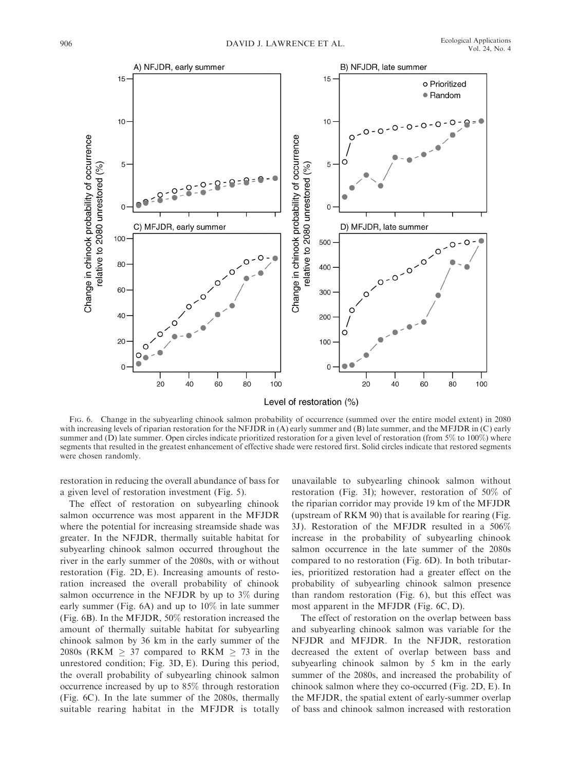

Level of restoration  $(\%)$ 

FIG. 6. Change in the subyearling chinook salmon probability of occurrence (summed over the entire model extent) in 2080 with increasing levels of riparian restoration for the NFJDR in (A) early summer and (B) late summer, and the MFJDR in (C) early summer and (D) late summer. Open circles indicate prioritized restoration for a given level of restoration (from 5% to 100%) where segments that resulted in the greatest enhancement of effective shade were restored first. Solid circles indicate that restored segments were chosen randomly.

restoration in reducing the overall abundance of bass for a given level of restoration investment (Fig. 5).

The effect of restoration on subyearling chinook salmon occurrence was most apparent in the MFJDR where the potential for increasing streamside shade was greater. In the NFJDR, thermally suitable habitat for subyearling chinook salmon occurred throughout the river in the early summer of the 2080s, with or without restoration (Fig. 2D, E). Increasing amounts of restoration increased the overall probability of chinook salmon occurrence in the NFJDR by up to 3% during early summer (Fig. 6A) and up to 10% in late summer (Fig. 6B). In the MFJDR, 50% restoration increased the amount of thermally suitable habitat for subyearling chinook salmon by 36 km in the early summer of the 2080s (RKM  $\geq$  37 compared to RKM  $\geq$  73 in the unrestored condition; Fig. 3D, E). During this period, the overall probability of subyearling chinook salmon occurrence increased by up to 85% through restoration (Fig. 6C). In the late summer of the 2080s, thermally suitable rearing habitat in the MFJDR is totally unavailable to subyearling chinook salmon without restoration (Fig. 3I); however, restoration of 50% of the riparian corridor may provide 19 km of the MFJDR (upstream of RKM 90) that is available for rearing (Fig. 3J). Restoration of the MFJDR resulted in a 506% increase in the probability of subyearling chinook salmon occurrence in the late summer of the 2080s compared to no restoration (Fig. 6D). In both tributaries, prioritized restoration had a greater effect on the probability of subyearling chinook salmon presence than random restoration (Fig. 6), but this effect was most apparent in the MFJDR (Fig. 6C, D).

The effect of restoration on the overlap between bass and subyearling chinook salmon was variable for the NFJDR and MFJDR. In the NFJDR, restoration decreased the extent of overlap between bass and subyearling chinook salmon by 5 km in the early summer of the 2080s, and increased the probability of chinook salmon where they co-occurred (Fig. 2D, E). In the MFJDR, the spatial extent of early-summer overlap of bass and chinook salmon increased with restoration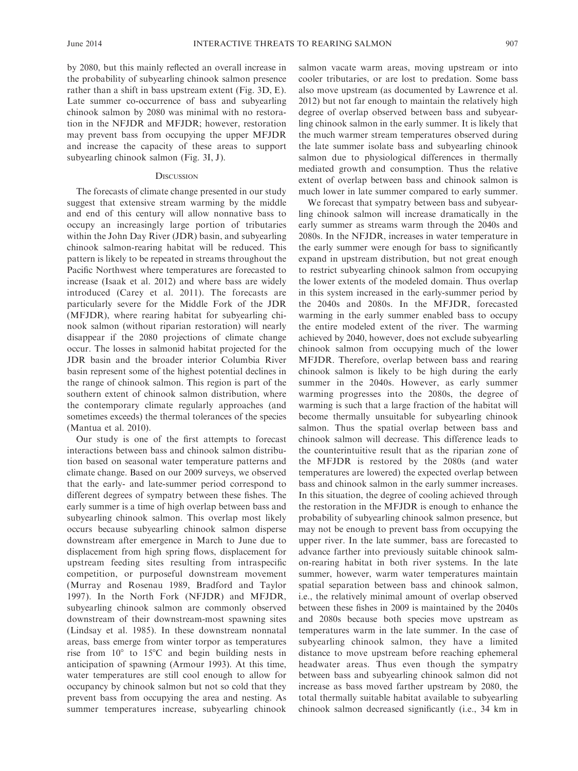by 2080, but this mainly reflected an overall increase in the probability of subyearling chinook salmon presence rather than a shift in bass upstream extent (Fig. 3D, E). Late summer co-occurrence of bass and subyearling chinook salmon by 2080 was minimal with no restoration in the NFJDR and MFJDR; however, restoration may prevent bass from occupying the upper MFJDR and increase the capacity of these areas to support subyearling chinook salmon (Fig. 3I, J).

### **DISCUSSION**

The forecasts of climate change presented in our study suggest that extensive stream warming by the middle and end of this century will allow nonnative bass to occupy an increasingly large portion of tributaries within the John Day River (JDR) basin, and subyearling chinook salmon-rearing habitat will be reduced. This pattern is likely to be repeated in streams throughout the Pacific Northwest where temperatures are forecasted to increase (Isaak et al. 2012) and where bass are widely introduced (Carey et al. 2011). The forecasts are particularly severe for the Middle Fork of the JDR (MFJDR), where rearing habitat for subyearling chinook salmon (without riparian restoration) will nearly disappear if the 2080 projections of climate change occur. The losses in salmonid habitat projected for the JDR basin and the broader interior Columbia River basin represent some of the highest potential declines in the range of chinook salmon. This region is part of the southern extent of chinook salmon distribution, where the contemporary climate regularly approaches (and sometimes exceeds) the thermal tolerances of the species (Mantua et al. 2010).

Our study is one of the first attempts to forecast interactions between bass and chinook salmon distribution based on seasonal water temperature patterns and climate change. Based on our 2009 surveys, we observed that the early- and late-summer period correspond to different degrees of sympatry between these fishes. The early summer is a time of high overlap between bass and subyearling chinook salmon. This overlap most likely occurs because subyearling chinook salmon disperse downstream after emergence in March to June due to displacement from high spring flows, displacement for upstream feeding sites resulting from intraspecific competition, or purposeful downstream movement (Murray and Rosenau 1989, Bradford and Taylor 1997). In the North Fork (NFJDR) and MFJDR, subyearling chinook salmon are commonly observed downstream of their downstream-most spawning sites (Lindsay et al. 1985). In these downstream nonnatal areas, bass emerge from winter torpor as temperatures rise from  $10^{\circ}$  to  $15^{\circ}$ C and begin building nests in anticipation of spawning (Armour 1993). At this time, water temperatures are still cool enough to allow for occupancy by chinook salmon but not so cold that they prevent bass from occupying the area and nesting. As summer temperatures increase, subyearling chinook salmon vacate warm areas, moving upstream or into cooler tributaries, or are lost to predation. Some bass also move upstream (as documented by Lawrence et al. 2012) but not far enough to maintain the relatively high degree of overlap observed between bass and subyearling chinook salmon in the early summer. It is likely that the much warmer stream temperatures observed during the late summer isolate bass and subyearling chinook salmon due to physiological differences in thermally mediated growth and consumption. Thus the relative extent of overlap between bass and chinook salmon is much lower in late summer compared to early summer.

We forecast that sympatry between bass and subyearling chinook salmon will increase dramatically in the early summer as streams warm through the 2040s and 2080s. In the NFJDR, increases in water temperature in the early summer were enough for bass to significantly expand in upstream distribution, but not great enough to restrict subyearling chinook salmon from occupying the lower extents of the modeled domain. Thus overlap in this system increased in the early-summer period by the 2040s and 2080s. In the MFJDR, forecasted warming in the early summer enabled bass to occupy the entire modeled extent of the river. The warming achieved by 2040, however, does not exclude subyearling chinook salmon from occupying much of the lower MFJDR. Therefore, overlap between bass and rearing chinook salmon is likely to be high during the early summer in the 2040s. However, as early summer warming progresses into the 2080s, the degree of warming is such that a large fraction of the habitat will become thermally unsuitable for subyearling chinook salmon. Thus the spatial overlap between bass and chinook salmon will decrease. This difference leads to the counterintuitive result that as the riparian zone of the MFJDR is restored by the 2080s (and water temperatures are lowered) the expected overlap between bass and chinook salmon in the early summer increases. In this situation, the degree of cooling achieved through the restoration in the MFJDR is enough to enhance the probability of subyearling chinook salmon presence, but may not be enough to prevent bass from occupying the upper river. In the late summer, bass are forecasted to advance farther into previously suitable chinook salmon-rearing habitat in both river systems. In the late summer, however, warm water temperatures maintain spatial separation between bass and chinook salmon, i.e., the relatively minimal amount of overlap observed between these fishes in 2009 is maintained by the 2040s and 2080s because both species move upstream as temperatures warm in the late summer. In the case of subyearling chinook salmon, they have a limited distance to move upstream before reaching ephemeral headwater areas. Thus even though the sympatry between bass and subyearling chinook salmon did not increase as bass moved farther upstream by 2080, the total thermally suitable habitat available to subyearling chinook salmon decreased significantly (i.e., 34 km in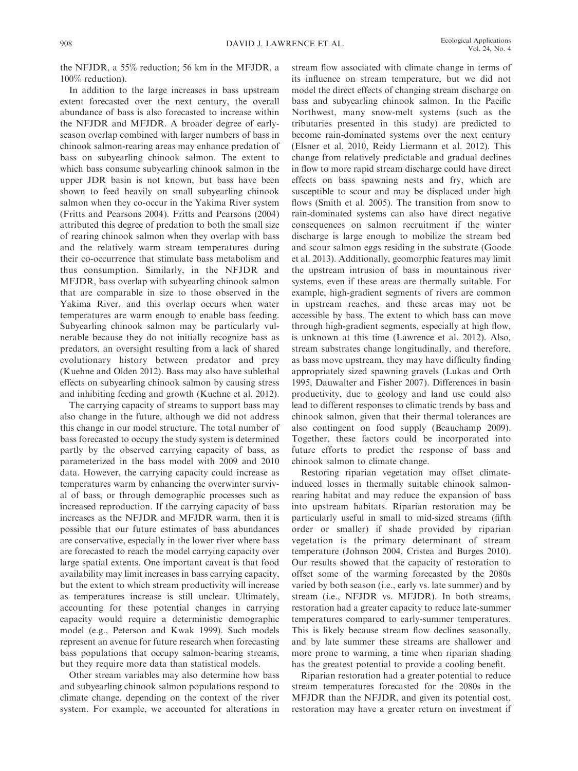the NFJDR, a 55% reduction; 56 km in the MFJDR, a 100% reduction).

In addition to the large increases in bass upstream extent forecasted over the next century, the overall abundance of bass is also forecasted to increase within the NFJDR and MFJDR. A broader degree of earlyseason overlap combined with larger numbers of bass in chinook salmon-rearing areas may enhance predation of bass on subyearling chinook salmon. The extent to which bass consume subyearling chinook salmon in the upper JDR basin is not known, but bass have been shown to feed heavily on small subyearling chinook salmon when they co-occur in the Yakima River system (Fritts and Pearsons 2004). Fritts and Pearsons (2004) attributed this degree of predation to both the small size of rearing chinook salmon when they overlap with bass and the relatively warm stream temperatures during their co-occurrence that stimulate bass metabolism and thus consumption. Similarly, in the NFJDR and MFJDR, bass overlap with subyearling chinook salmon that are comparable in size to those observed in the Yakima River, and this overlap occurs when water temperatures are warm enough to enable bass feeding. Subyearling chinook salmon may be particularly vulnerable because they do not initially recognize bass as predators, an oversight resulting from a lack of shared evolutionary history between predator and prey (Kuehne and Olden 2012). Bass may also have sublethal effects on subyearling chinook salmon by causing stress and inhibiting feeding and growth (Kuehne et al. 2012).

The carrying capacity of streams to support bass may also change in the future, although we did not address this change in our model structure. The total number of bass forecasted to occupy the study system is determined partly by the observed carrying capacity of bass, as parameterized in the bass model with 2009 and 2010 data. However, the carrying capacity could increase as temperatures warm by enhancing the overwinter survival of bass, or through demographic processes such as increased reproduction. If the carrying capacity of bass increases as the NFJDR and MFJDR warm, then it is possible that our future estimates of bass abundances are conservative, especially in the lower river where bass are forecasted to reach the model carrying capacity over large spatial extents. One important caveat is that food availability may limit increases in bass carrying capacity, but the extent to which stream productivity will increase as temperatures increase is still unclear. Ultimately, accounting for these potential changes in carrying capacity would require a deterministic demographic model (e.g., Peterson and Kwak 1999). Such models represent an avenue for future research when forecasting bass populations that occupy salmon-bearing streams, but they require more data than statistical models.

Other stream variables may also determine how bass and subyearling chinook salmon populations respond to climate change, depending on the context of the river system. For example, we accounted for alterations in

stream flow associated with climate change in terms of its influence on stream temperature, but we did not model the direct effects of changing stream discharge on bass and subyearling chinook salmon. In the Pacific Northwest, many snow-melt systems (such as the tributaries presented in this study) are predicted to become rain-dominated systems over the next century (Elsner et al. 2010, Reidy Liermann et al. 2012). This change from relatively predictable and gradual declines in flow to more rapid stream discharge could have direct effects on bass spawning nests and fry, which are susceptible to scour and may be displaced under high flows (Smith et al. 2005). The transition from snow to rain-dominated systems can also have direct negative consequences on salmon recruitment if the winter discharge is large enough to mobilize the stream bed and scour salmon eggs residing in the substrate (Goode et al. 2013). Additionally, geomorphic features may limit the upstream intrusion of bass in mountainous river systems, even if these areas are thermally suitable. For example, high-gradient segments of rivers are common in upstream reaches, and these areas may not be accessible by bass. The extent to which bass can move through high-gradient segments, especially at high flow, is unknown at this time (Lawrence et al. 2012). Also, stream substrates change longitudinally, and therefore, as bass move upstream, they may have difficulty finding appropriately sized spawning gravels (Lukas and Orth 1995, Dauwalter and Fisher 2007). Differences in basin productivity, due to geology and land use could also lead to different responses to climatic trends by bass and chinook salmon, given that their thermal tolerances are also contingent on food supply (Beauchamp 2009). Together, these factors could be incorporated into future efforts to predict the response of bass and chinook salmon to climate change.

Restoring riparian vegetation may offset climateinduced losses in thermally suitable chinook salmonrearing habitat and may reduce the expansion of bass into upstream habitats. Riparian restoration may be particularly useful in small to mid-sized streams (fifth order or smaller) if shade provided by riparian vegetation is the primary determinant of stream temperature (Johnson 2004, Cristea and Burges 2010). Our results showed that the capacity of restoration to offset some of the warming forecasted by the 2080s varied by both season (i.e., early vs. late summer) and by stream (i.e., NFJDR vs. MFJDR). In both streams, restoration had a greater capacity to reduce late-summer temperatures compared to early-summer temperatures. This is likely because stream flow declines seasonally, and by late summer these streams are shallower and more prone to warming, a time when riparian shading has the greatest potential to provide a cooling benefit.

Riparian restoration had a greater potential to reduce stream temperatures forecasted for the 2080s in the MFJDR than the NFJDR, and given its potential cost, restoration may have a greater return on investment if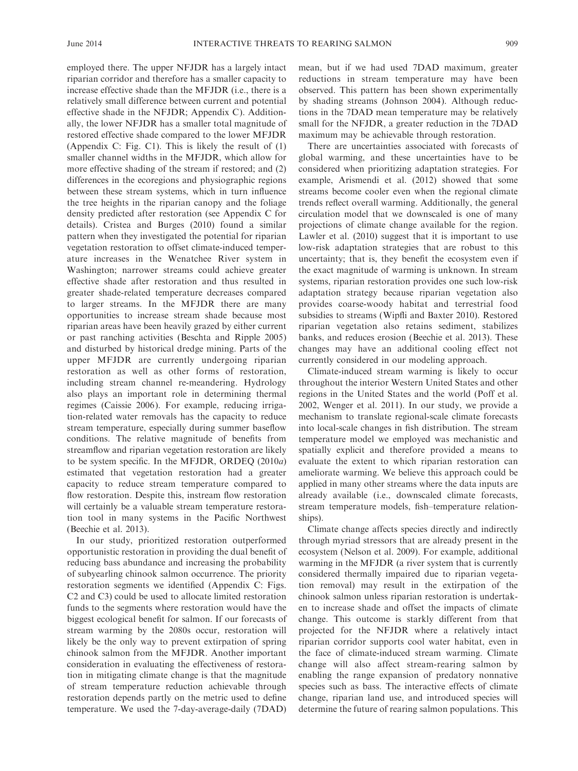employed there. The upper NFJDR has a largely intact riparian corridor and therefore has a smaller capacity to increase effective shade than the MFJDR (i.e., there is a relatively small difference between current and potential effective shade in the NFJDR; Appendix C). Additionally, the lower NFJDR has a smaller total magnitude of restored effective shade compared to the lower MFJDR (Appendix C: Fig. C1). This is likely the result of (1) smaller channel widths in the MFJDR, which allow for more effective shading of the stream if restored; and (2) differences in the ecoregions and physiographic regions between these stream systems, which in turn influence the tree heights in the riparian canopy and the foliage density predicted after restoration (see Appendix C for details). Cristea and Burges (2010) found a similar pattern when they investigated the potential for riparian vegetation restoration to offset climate-induced temperature increases in the Wenatchee River system in Washington; narrower streams could achieve greater effective shade after restoration and thus resulted in greater shade-related temperature decreases compared to larger streams. In the MFJDR there are many opportunities to increase stream shade because most riparian areas have been heavily grazed by either current or past ranching activities (Beschta and Ripple 2005) and disturbed by historical dredge mining. Parts of the upper MFJDR are currently undergoing riparian restoration as well as other forms of restoration, including stream channel re-meandering. Hydrology also plays an important role in determining thermal regimes (Caissie 2006). For example, reducing irrigation-related water removals has the capacity to reduce stream temperature, especially during summer baseflow conditions. The relative magnitude of benefits from streamflow and riparian vegetation restoration are likely to be system specific. In the MFJDR, ORDEQ (2010a) estimated that vegetation restoration had a greater capacity to reduce stream temperature compared to flow restoration. Despite this, instream flow restoration will certainly be a valuable stream temperature restoration tool in many systems in the Pacific Northwest (Beechie et al. 2013).

In our study, prioritized restoration outperformed opportunistic restoration in providing the dual benefit of reducing bass abundance and increasing the probability of subyearling chinook salmon occurrence. The priority restoration segments we identified (Appendix C: Figs. C2 and C3) could be used to allocate limited restoration funds to the segments where restoration would have the biggest ecological benefit for salmon. If our forecasts of stream warming by the 2080s occur, restoration will likely be the only way to prevent extirpation of spring chinook salmon from the MFJDR. Another important consideration in evaluating the effectiveness of restoration in mitigating climate change is that the magnitude of stream temperature reduction achievable through restoration depends partly on the metric used to define temperature. We used the 7-day-average-daily (7DAD) mean, but if we had used 7DAD maximum, greater reductions in stream temperature may have been observed. This pattern has been shown experimentally by shading streams (Johnson 2004). Although reductions in the 7DAD mean temperature may be relatively small for the NFJDR, a greater reduction in the 7DAD maximum may be achievable through restoration.

There are uncertainties associated with forecasts of global warming, and these uncertainties have to be considered when prioritizing adaptation strategies. For example, Arismendi et al. (2012) showed that some streams become cooler even when the regional climate trends reflect overall warming. Additionally, the general circulation model that we downscaled is one of many projections of climate change available for the region. Lawler et al. (2010) suggest that it is important to use low-risk adaptation strategies that are robust to this uncertainty; that is, they benefit the ecosystem even if the exact magnitude of warming is unknown. In stream systems, riparian restoration provides one such low-risk adaptation strategy because riparian vegetation also provides coarse-woody habitat and terrestrial food subsidies to streams (Wipfli and Baxter 2010). Restored riparian vegetation also retains sediment, stabilizes banks, and reduces erosion (Beechie et al. 2013). These changes may have an additional cooling effect not currently considered in our modeling approach.

Climate-induced stream warming is likely to occur throughout the interior Western United States and other regions in the United States and the world (Poff et al. 2002, Wenger et al. 2011). In our study, we provide a mechanism to translate regional-scale climate forecasts into local-scale changes in fish distribution. The stream temperature model we employed was mechanistic and spatially explicit and therefore provided a means to evaluate the extent to which riparian restoration can ameliorate warming. We believe this approach could be applied in many other streams where the data inputs are already available (i.e., downscaled climate forecasts, stream temperature models, fish–temperature relationships).

Climate change affects species directly and indirectly through myriad stressors that are already present in the ecosystem (Nelson et al. 2009). For example, additional warming in the MFJDR (a river system that is currently considered thermally impaired due to riparian vegetation removal) may result in the extirpation of the chinook salmon unless riparian restoration is undertaken to increase shade and offset the impacts of climate change. This outcome is starkly different from that projected for the NFJDR where a relatively intact riparian corridor supports cool water habitat, even in the face of climate-induced stream warming. Climate change will also affect stream-rearing salmon by enabling the range expansion of predatory nonnative species such as bass. The interactive effects of climate change, riparian land use, and introduced species will determine the future of rearing salmon populations. This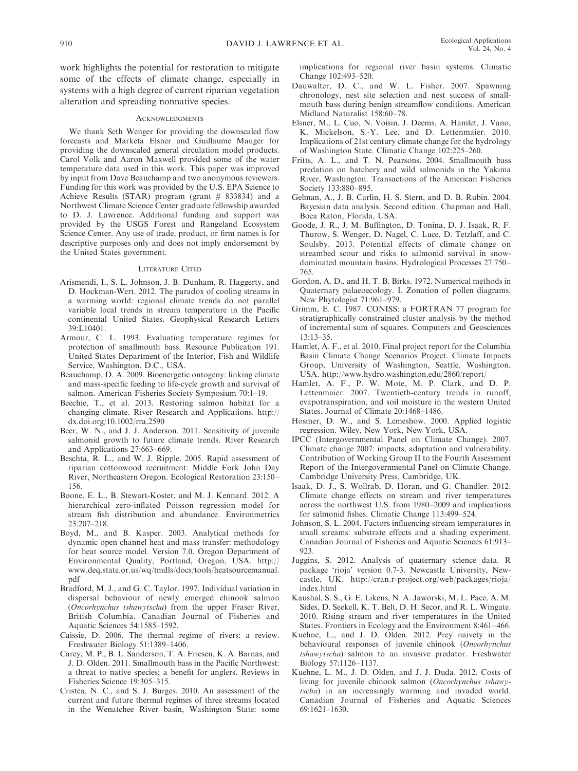work highlights the potential for restoration to mitigate some of the effects of climate change, especially in systems with a high degree of current riparian vegetation alteration and spreading nonnative species.

#### **ACKNOWLEDGMENTS**

We thank Seth Wenger for providing the downscaled flow forecasts and Marketa Elsner and Guillaume Mauger for providing the downscaled general circulation model products. Carol Volk and Aaron Maxwell provided some of the water temperature data used in this work. This paper was improved by input from Dave Beauchamp and two anonymous reviewers. Funding for this work was provided by the U.S. EPA Science to Achieve Results (STAR) program (grant # 833834) and a Northwest Climate Science Center graduate fellowship awarded to D. J. Lawrence. Additional funding and support was provided by the USGS Forest and Rangeland Ecosystem Science Center. Any use of trade, product, or firm names is for descriptive purposes only and does not imply endorsement by the United States government.

#### LITERATURE CITED

- Arismendi, I., S. L. Johnson, J. B. Dunham, R. Haggerty, and D. Hockman-Wert. 2012. The paradox of cooling streams in a warming world: regional climate trends do not parallel variable local trends in stream temperature in the Pacific continental United States. Geophysical Research Letters 39:L10401.
- Armour, C. L. 1993. Evaluating temperature regimes for protection of smallmouth bass. Resource Publication 191. United States Department of the Interior, Fish and Wildlife Service, Washington, D.C., USA.
- Beauchamp, D. A. 2009. Bioenergetic ontogeny: linking climate and mass-specific feeding to life-cycle growth and survival of salmon. American Fisheries Society Symposium 70:1–19.
- Beechie, T., et al. 2013. Restoring salmon habitat for a changing climate. River Research and Applications. http:// dx.doi.org/10.1002/rra.2590
- Beer, W. N., and J. J. Anderson. 2011. Sensitivity of juvenile salmonid growth to future climate trends. River Research and Applications 27:663–669.
- Beschta, R. L., and W. J. Ripple. 2005. Rapid assessment of riparian cottonwood recruitment: Middle Fork John Day River, Northeastern Oregon. Ecological Restoration 23:150– 156.
- Boone, E. L., B. Stewart-Koster, and M. J. Kennard. 2012. A hierarchical zero-inflated Poisson regression model for stream fish distribution and abundance. Environmetrics 23:207–218.
- Boyd, M., and B. Kasper. 2003. Analytical methods for dynamic open channel heat and mass transfer: methodology for heat source model. Version 7.0. Oregon Department of Environmental Quality, Portland, Oregon, USA. http:// www.deq.state.or.us/wq/tmdls/docs/tools/heatsourcemanual. pdf
- Bradford, M. J., and G. C. Taylor. 1997. Individual variation in dispersal behaviour of newly emerged chinook salmon (Oncorhynchus tshawytscha) from the upper Fraser River, British Columbia. Canadian Journal of Fisheries and Aquatic Sciences 54:1585–1592.
- Caissie, D. 2006. The thermal regime of rivers: a review. Freshwater Biology 51:1389–1406.
- Carey, M. P., B. L. Sanderson, T. A. Friesen, K. A. Barnas, and J. D. Olden. 2011. Smallmouth bass in the Pacific Northwest: a threat to native species; a benefit for anglers. Reviews in Fisheries Science 19:305–315.
- Cristea, N. C., and S. J. Burges. 2010. An assessment of the current and future thermal regimes of three streams located in the Wenatchee River basin, Washington State: some

implications for regional river basin systems. Climatic Change 102:493–520.

- Dauwalter, D. C., and W. L. Fisher. 2007. Spawning chronology, nest site selection and nest success of smallmouth bass during benign streamflow conditions. American Midland Naturalist 158:60–78.
- Elsner, M., L. Cuo, N. Voisin, J. Deems, A. Hamlet, J. Vano, K. Mickelson, S.-Y. Lee, and D. Lettenmaier. 2010. Implications of 21st century climate change for the hydrology of Washington State. Climatic Change 102:225–260.
- Fritts, A. L., and T. N. Pearsons. 2004. Smallmouth bass predation on hatchery and wild salmonids in the Yakima River, Washington. Transactions of the American Fisheries Society 133:880–895.
- Gelman, A., J. B. Carlin, H. S. Stern, and D. B. Rubin. 2004. Bayesian data analysis. Second edition. Chapman and Hall, Boca Raton, Florida, USA.
- Goode, J. R., J. M. Buffington, D. Tonina, D. J. Isaak, R. F. Thurow, S. Wenger, D. Nagel, C. Luce, D. Tetzlaff, and C. Soulsby. 2013. Potential effects of climate change on streambed scour and risks to salmonid survival in snowdominated mountain basins. Hydrological Processes 27:750– 765.
- Gordon, A. D., and H. T. B. Birks. 1972. Numerical methods in Quaternary palaeoecology. I. Zonation of pollen diagrams. New Phytologist 71:961–979.
- Grimm, E. C. 1987. CONISS: a FORTRAN 77 program for stratigraphically constrained cluster analysis by the method of incremental sum of squares. Computers and Geosciences 13:13–35.
- Hamlet, A. F., et al. 2010. Final project report for the Columbia Basin Climate Change Scenarios Project. Climate Impacts Group, University of Washington, Seattle, Washington, USA. http://www.hydro.washington.edu/2860/report/
- Hamlet, A. F., P. W. Mote, M. P. Clark, and D. P. Lettenmaier. 2007. Twentieth-century trends in runoff, evapotranspiration, and soil moisture in the western United States. Journal of Climate 20:1468–1486.
- Hosmer, D. W., and S. Lemeshow. 2000. Applied logistic regression. Wiley, New York, New York, USA.
- IPCC (Intergovernmental Panel on Climate Change). 2007. Climate change 2007: impacts, adaptation and vulnerability. Contribution of Working Group II to the Fourth Assessment Report of the Intergovernmental Panel on Climate Change. Cambridge University Press, Cambridge, UK.
- Isaak, D. J., S. Wollrab, D. Horan, and G. Chandler. 2012. Climate change effects on stream and river temperatures across the northwest U.S. from 1980–2009 and implications for salmonid fishes. Climatic Change 113:499–524.
- Johnson, S. L. 2004. Factors influencing stream temperatures in small streams: substrate effects and a shading experiment. Canadian Journal of Fisheries and Aquatic Sciences 61:913– 923.
- Juggins, S. 2012. Analysis of quaternary science data. R package 'rioja' version 0.7-3. Newcastle University, Newcastle, UK. http://cran.r-project.org/web/packages/rioja/ index.html
- Kaushal, S. S., G. E. Likens, N. A. Jaworski, M. L. Pace, A. M. Sides, D. Seekell, K. T. Belt, D. H. Secor, and R. L. Wingate. 2010. Rising stream and river temperatures in the United States. Frontiers in Ecology and the Environment 8:461–466.
- Kuehne, L., and J. D. Olden. 2012. Prey naivety in the behavioural responses of juvenile chinook (Oncorhynchus tshawytscha) salmon to an invasive predator. Freshwater Biology 57:1126–1137.
- Kuehne, L. M., J. D. Olden, and J. J. Duda. 2012. Costs of living for juvenile chinook salmon (Oncorhynchus tshawytscha) in an increasingly warming and invaded world. Canadian Journal of Fisheries and Aquatic Sciences 69:1621–1630.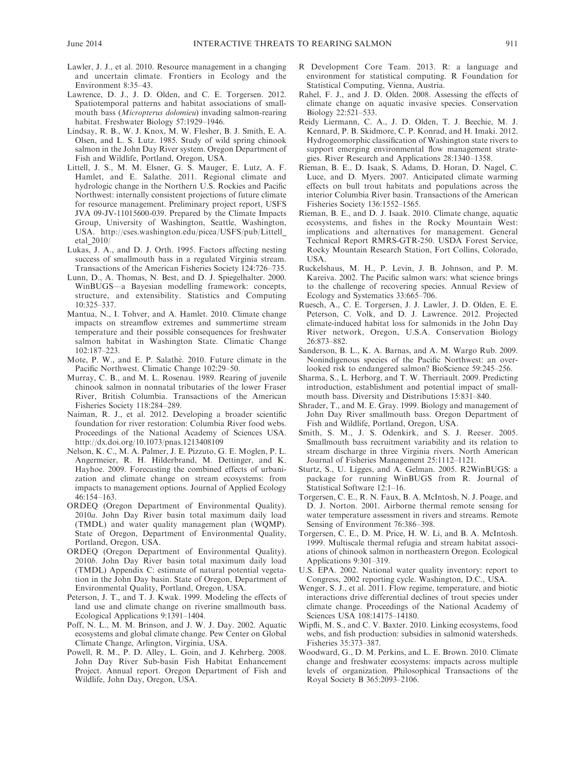- Lawler, J. J., et al. 2010. Resource management in a changing and uncertain climate. Frontiers in Ecology and the Environment 8:35–43.
- Lawrence, D. J., J. D. Olden, and C. E. Torgersen. 2012. Spatiotemporal patterns and habitat associations of smallmouth bass (Micropterus dolomieu) invading salmon-rearing habitat. Freshwater Biology 57:1929–1946.
- Lindsay, R. B., W. J. Knox, M. W. Flesher, B. J. Smith, E. A. Olsen, and L. S. Lutz. 1985. Study of wild spring chinook salmon in the John Day River system. Oregon Department of Fish and Wildlife, Portland, Oregon, USA.
- Littell, J. S., M. M. Elsner, G. S. Mauger, E. Lutz, A. F. Hamlet, and E. Salathe. 2011. Regional climate and hydrologic change in the Northern U.S. Rockies and Pacific Northwest: internally consistent projections of future climate for resource management. Preliminary project report, USFS JVA 09-JV-11015600-039. Prepared by the Climate Impacts Group, University of Washington, Seattle, Washington, USA. http://cses.washington.edu/picea/USFS/pub/Littell\_ etal\_2010/
- Lukas, J. A., and D. J. Orth. 1995. Factors affecting nesting success of smallmouth bass in a regulated Virginia stream. Transactions of the American Fisheries Society 124:726–735.
- Lunn, D., A. Thomas, N. Best, and D. J. Spiegelhalter. 2000. WinBUGS—a Bayesian modelling framework: concepts, structure, and extensibility. Statistics and Computing 10:325–337.
- Mantua, N., I. Tohver, and A. Hamlet. 2010. Climate change impacts on streamflow extremes and summertime stream temperature and their possible consequences for freshwater salmon habitat in Washington State. Climatic Change 102:187–223.
- Mote, P. W., and E. P. Salathé. 2010. Future climate in the Pacific Northwest. Climatic Change 102:29–50.
- Murray, C. B., and M. L. Rosenau. 1989. Rearing of juvenile chinook salmon in nonnatal tributaries of the lower Fraser River, British Columbia. Transactions of the American Fisheries Society 118:284–289.
- Naiman, R. J., et al. 2012. Developing a broader scientific foundation for river restoration: Columbia River food webs. Proceedings of the National Academy of Sciences USA. http://dx.doi.org/10.1073/pnas.1213408109
- Nelson, K. C., M. A. Palmer, J. E. Pizzuto, G. E. Moglen, P. L. Angermeier, R. H. Hilderbrand, M. Dettinger, and K. Hayhoe. 2009. Forecasting the combined effects of urbanization and climate change on stream ecosystems: from impacts to management options. Journal of Applied Ecology  $46.154 - 163$
- ORDEQ (Oregon Department of Environmental Quality). 2010a. John Day River basin total maximum daily load (TMDL) and water quality management plan (WQMP). State of Oregon, Department of Environmental Quality, Portland, Oregon, USA.
- ORDEQ (Oregon Department of Environmental Quality). 2010b. John Day River basin total maximum daily load (TMDL) Appendix C: estimate of natural potential vegetation in the John Day basin. State of Oregon, Department of Environmental Quality, Portland, Oregon, USA.
- Peterson, J. T., and T. J. Kwak. 1999. Modeling the effects of land use and climate change on riverine smallmouth bass. Ecological Applications 9:1391–1404.
- Poff, N. L., M. M. Brinson, and J. W. J. Day. 2002. Aquatic ecosystems and global climate change. Pew Center on Global Climate Change, Arlington, Virginia, USA.
- Powell, R. M., P. D. Alley, L. Goin, and J. Kehrberg. 2008. John Day River Sub-basin Fish Habitat Enhancement Project. Annual report. Oregon Department of Fish and Wildlife, John Day, Oregon, USA.
- R Development Core Team. 2013. R: a language and environment for statistical computing. R Foundation for Statistical Computing, Vienna, Austria.
- Rahel, F. J., and J. D. Olden. 2008. Assessing the effects of climate change on aquatic invasive species. Conservation Biology 22:521–533.
- Reidy Liermann, C. A., J. D. Olden, T. J. Beechie, M. J. Kennard, P. B. Skidmore, C. P. Konrad, and H. Imaki. 2012. Hydrogeomorphic classification of Washington state rivers to support emerging environmental flow management strategies. River Research and Applications 28:1340–1358.
- Rieman, B. E., D. Isaak, S. Adams, D. Horan, D. Nagel, C. Luce, and D. Myers. 2007. Anticipated climate warming effects on bull trout habitats and populations across the interior Columbia River basin. Transactions of the American Fisheries Society 136:1552–1565.
- Rieman, B. E., and D. J. Isaak. 2010. Climate change, aquatic ecosystems, and fishes in the Rocky Mountain West: implications and alternatives for management. General Technical Report RMRS-GTR-250. USDA Forest Service, Rocky Mountain Research Station, Fort Collins, Colorado, USA.
- Ruckelshaus, M. H., P. Levin, J. B. Johnson, and P. M. Kareiva. 2002. The Pacific salmon wars: what science brings to the challenge of recovering species. Annual Review of Ecology and Systematics 33:665–706.
- Ruesch, A., C. E. Torgersen, J. J. Lawler, J. D. Olden, E. E. Peterson, C. Volk, and D. J. Lawrence. 2012. Projected climate-induced habitat loss for salmonids in the John Day River network, Oregon, U.S.A. Conservation Biology 26:873–882.
- Sanderson, B. L., K. A. Barnas, and A. M. Wargo Rub. 2009. Nonindigenous species of the Pacific Northwest: an overlooked risk to endangered salmon? BioScience 59:245–256.
- Sharma, S., L. Herborg, and T. W. Therriault. 2009. Predicting introduction, establishment and potential impact of smallmouth bass. Diversity and Distributions 15:831–840.
- Shrader, T., and M. E. Gray. 1999. Biology and management of John Day River smallmouth bass. Oregon Department of Fish and Wildlife, Portland, Oregon, USA.
- Smith, S. M., J. S. Odenkirk, and S. J. Reeser. 2005. Smallmouth bass recruitment variability and its relation to stream discharge in three Virginia rivers. North American Journal of Fisheries Management 25:1112–1121.
- Sturtz, S., U. Ligges, and A. Gelman. 2005. R2WinBUGS: a package for running WinBUGS from R. Journal of Statistical Software 12:1–16.
- Torgersen, C. E., R. N. Faux, B. A. McIntosh, N. J. Poage, and D. J. Norton. 2001. Airborne thermal remote sensing for water temperature assessment in rivers and streams. Remote Sensing of Environment 76:386–398.
- Torgersen, C. E., D. M. Price, H. W. Li, and B. A. McIntosh. 1999. Multiscale thermal refugia and stream habitat associations of chinook salmon in northeastern Oregon. Ecological Applications 9:301–319.
- U.S. EPA. 2002. National water quality inventory: report to Congress, 2002 reporting cycle. Washington, D.C., USA.
- Wenger, S. J., et al. 2011. Flow regime, temperature, and biotic interactions drive differential declines of trout species under climate change. Proceedings of the National Academy of Sciences USA 108:14175–14180.
- Wipfli, M. S., and C. V. Baxter. 2010. Linking ecosystems, food webs, and fish production: subsidies in salmonid watersheds. Fisheries 35:373–387.
- Woodward, G., D. M. Perkins, and L. E. Brown. 2010. Climate change and freshwater ecosystems: impacts across multiple levels of organization. Philosophical Transactions of the Royal Society B 365:2093–2106.